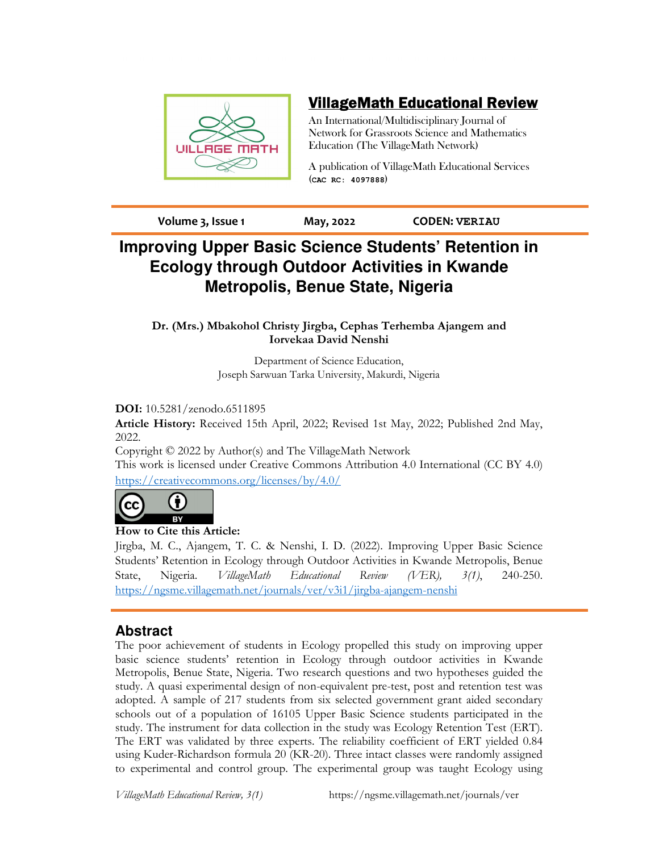

# VillageMath Educational Review

An International/Multidisciplinary Journal of Network for Grassroots Science and Mathematics Education (The VillageMath Network)

A publication of VillageMath Educational Services (**CAC RC: 4097888**)

**Volume 3, Issue 1 May, 2022 CODEN: VERIAU**

# **Improving Upper Basic Science Students' Retention in Ecology through Outdoor Activities in Kwande Metropolis, Benue State, Nigeria**

**Dr. (Mrs.) Mbakohol Christy Jirgba, Cephas Terhemba Ajangem and Iorvekaa David Nenshi**

> Department of Science Education, Joseph Sarwuan Tarka University, Makurdi, Nigeria

## **DOI:** 10.5281/zenodo.6511895

**Article History:** Received 15th April, 2022; Revised 1st May, 2022; Published 2nd May, 2022.

Copyright © 2022 by Author(s) and The VillageMath Network

This work is licensed under Creative Commons Attribution 4.0 International (CC BY 4.0) https://creativecommons.org/licenses/by/4.0/



## **How to Cite this Article:**

Jirgba, M. C., Ajangem, T. C. & Nenshi, I. D. (2022). Improving Upper Basic Science Students' Retention in Ecology through Outdoor Activities in Kwande Metropolis, Benue State, Nigeria. *VillageMath Educational Review (VER), 3(1)*, 240-250. https://ngsme.villagemath.net/journals/ver/v3i1/jirgba-ajangem-nenshi

## **Abstract**

The poor achievement of students in Ecology propelled this study on improving upper basic science students' retention in Ecology through outdoor activities in Kwande Metropolis, Benue State, Nigeria. Two research questions and two hypotheses guided the study. A quasi experimental design of non-equivalent pre-test, post and retention test was adopted. A sample of 217 students from six selected government grant aided secondary schools out of a population of 16105 Upper Basic Science students participated in the study. The instrument for data collection in the study was Ecology Retention Test (ERT). The ERT was validated by three experts. The reliability coefficient of ERT yielded 0.84 using Kuder-Richardson formula 20 (KR-20). Three intact classes were randomly assigned to experimental and control group. The experimental group was taught Ecology using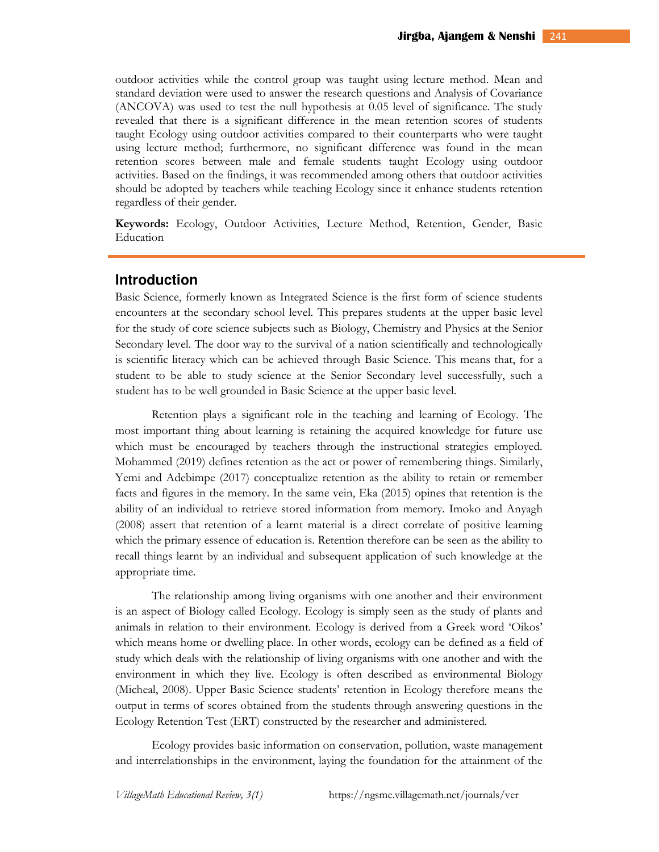outdoor activities while the control group was taught using lecture method. Mean and standard deviation were used to answer the research questions and Analysis of Covariance (ANCOVA) was used to test the null hypothesis at 0.05 level of significance. The study revealed that there is a significant difference in the mean retention scores of students taught Ecology using outdoor activities compared to their counterparts who were taught using lecture method; furthermore, no significant difference was found in the mean retention scores between male and female students taught Ecology using outdoor activities. Based on the findings, it was recommended among others that outdoor activities should be adopted by teachers while teaching Ecology since it enhance students retention regardless of their gender.

**Keywords:** Ecology, Outdoor Activities, Lecture Method, Retention, Gender, Basic Education

### **Introduction**

Basic Science, formerly known as Integrated Science is the first form of science students encounters at the secondary school level. This prepares students at the upper basic level for the study of core science subjects such as Biology, Chemistry and Physics at the Senior Secondary level. The door way to the survival of a nation scientifically and technologically is scientific literacy which can be achieved through Basic Science. This means that, for a student to be able to study science at the Senior Secondary level successfully, such a student has to be well grounded in Basic Science at the upper basic level.

Retention plays a significant role in the teaching and learning of Ecology. The most important thing about learning is retaining the acquired knowledge for future use which must be encouraged by teachers through the instructional strategies employed. Mohammed (2019) defines retention as the act or power of remembering things. Similarly, Yemi and Adebimpe (2017) conceptualize retention as the ability to retain or remember facts and figures in the memory. In the same vein, Eka (2015) opines that retention is the ability of an individual to retrieve stored information from memory. Imoko and Anyagh (2008) assert that retention of a learnt material is a direct correlate of positive learning which the primary essence of education is. Retention therefore can be seen as the ability to recall things learnt by an individual and subsequent application of such knowledge at the appropriate time.

The relationship among living organisms with one another and their environment is an aspect of Biology called Ecology. Ecology is simply seen as the study of plants and animals in relation to their environment. Ecology is derived from a Greek word 'Oikos' which means home or dwelling place. In other words, ecology can be defined as a field of study which deals with the relationship of living organisms with one another and with the environment in which they live. Ecology is often described as environmental Biology (Micheal, 2008). Upper Basic Science students' retention in Ecology therefore means the output in terms of scores obtained from the students through answering questions in the Ecology Retention Test (ERT) constructed by the researcher and administered.

Ecology provides basic information on conservation, pollution, waste management and interrelationships in the environment, laying the foundation for the attainment of the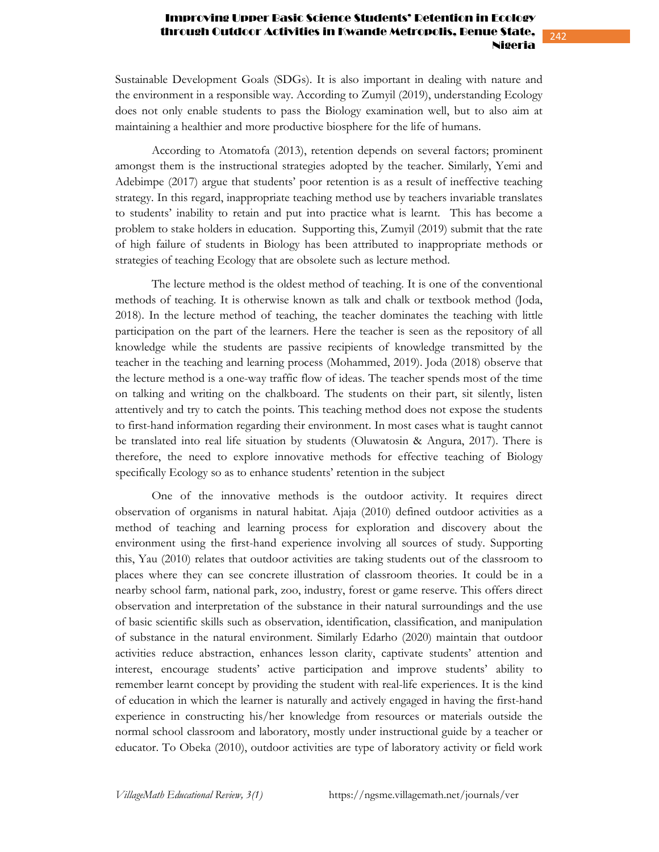242

Sustainable Development Goals (SDGs). It is also important in dealing with nature and the environment in a responsible way. According to Zumyil (2019), understanding Ecology does not only enable students to pass the Biology examination well, but to also aim at maintaining a healthier and more productive biosphere for the life of humans.

According to Atomatofa (2013), retention depends on several factors; prominent amongst them is the instructional strategies adopted by the teacher. Similarly, Yemi and Adebimpe (2017) argue that students' poor retention is as a result of ineffective teaching strategy. In this regard, inappropriate teaching method use by teachers invariable translates to students' inability to retain and put into practice what is learnt. This has become a problem to stake holders in education. Supporting this, Zumyil (2019) submit that the rate of high failure of students in Biology has been attributed to inappropriate methods or strategies of teaching Ecology that are obsolete such as lecture method.

The lecture method is the oldest method of teaching. It is one of the conventional methods of teaching. It is otherwise known as talk and chalk or textbook method (Joda, 2018). In the lecture method of teaching, the teacher dominates the teaching with little participation on the part of the learners. Here the teacher is seen as the repository of all knowledge while the students are passive recipients of knowledge transmitted by the teacher in the teaching and learning process (Mohammed, 2019). Joda (2018) observe that the lecture method is a one-way traffic flow of ideas. The teacher spends most of the time on talking and writing on the chalkboard. The students on their part, sit silently, listen attentively and try to catch the points. This teaching method does not expose the students to first-hand information regarding their environment. In most cases what is taught cannot be translated into real life situation by students (Oluwatosin & Angura, 2017). There is therefore, the need to explore innovative methods for effective teaching of Biology specifically Ecology so as to enhance students' retention in the subject

One of the innovative methods is the outdoor activity. It requires direct observation of organisms in natural habitat. Ajaja (2010) defined outdoor activities as a method of teaching and learning process for exploration and discovery about the environment using the first-hand experience involving all sources of study. Supporting this, Yau (2010) relates that outdoor activities are taking students out of the classroom to places where they can see concrete illustration of classroom theories. It could be in a nearby school farm, national park, zoo, industry, forest or game reserve. This offers direct observation and interpretation of the substance in their natural surroundings and the use of basic scientific skills such as observation, identification, classification, and manipulation of substance in the natural environment. Similarly Edarho (2020) maintain that outdoor activities reduce abstraction, enhances lesson clarity, captivate students' attention and interest, encourage students' active participation and improve students' ability to remember learnt concept by providing the student with real-life experiences. It is the kind of education in which the learner is naturally and actively engaged in having the first-hand experience in constructing his/her knowledge from resources or materials outside the normal school classroom and laboratory, mostly under instructional guide by a teacher or educator. To Obeka (2010), outdoor activities are type of laboratory activity or field work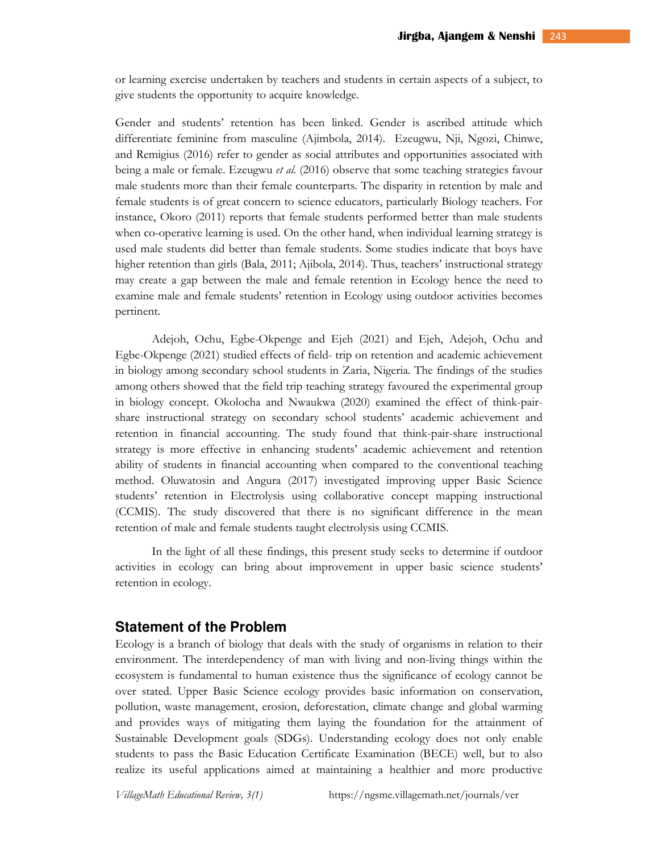or learning exercise undertaken by teachers and students in certain aspects of a subject, to give students the opportunity to acquire knowledge.

Gender and students' retention has been linked. Gender is ascribed attitude which differentiate feminine from masculine (Ajimbola, 2014). Ezeugwu, Nji, Ngozi, Chinwe, and Remigius (2016) refer to gender as social attributes and opportunities associated with being a male or female. Ezeugwu *et al.* (2016) observe that some teaching strategies favour male students more than their female counterparts. The disparity in retention by male and female students is of great concern to science educators, particularly Biology teachers. For instance, Okoro (2011) reports that female students performed better than male students when co-operative learning is used. On the other hand, when individual learning strategy is used male students did better than female students. Some studies indicate that boys have higher retention than girls (Bala, 2011; Ajibola, 2014). Thus, teachers' instructional strategy may create a gap between the male and female retention in Ecology hence the need to examine male and female students' retention in Ecology using outdoor activities becomes pertinent.

Adejoh, Ochu, Egbe-Okpenge and Ejeh (2021) and Ejeh, Adejoh, Ochu and Egbe-Okpenge (2021) studied effects of field- trip on retention and academic achievement in biology among secondary school students in Zaria, Nigeria. The findings of the studies among others showed that the field trip teaching strategy favoured the experimental group in biology concept. Okolocha and Nwaukwa (2020) examined the effect of think-pairshare instructional strategy on secondary school students' academic achievement and retention in financial accounting. The study found that think-pair-share instructional strategy is more effective in enhancing students' academic achievement and retention ability of students in financial accounting when compared to the conventional teaching method. Oluwatosin and Angura (2017) investigated improving upper Basic Science students' retention in Electrolysis using collaborative concept mapping instructional (CCMIS). The study discovered that there is no significant difference in the mean retention of male and female students taught electrolysis using CCMIS.

In the light of all these findings, this present study seeks to determine if outdoor activities in ecology can bring about improvement in upper basic science students' retention in ecology.

### **Statement of the Problem**

Ecology is a branch of biology that deals with the study of organisms in relation to their environment. The interdependency of man with living and non-living things within the ecosystem is fundamental to human existence thus the significance of ecology cannot be over stated. Upper Basic Science ecology provides basic information on conservation, pollution, waste management, erosion, deforestation, climate change and global warming and provides ways of mitigating them laying the foundation for the attainment of Sustainable Development goals (SDGs). Understanding ecology does not only enable students to pass the Basic Education Certificate Examination (BECE) well, but to also realize its useful applications aimed at maintaining a healthier and more productive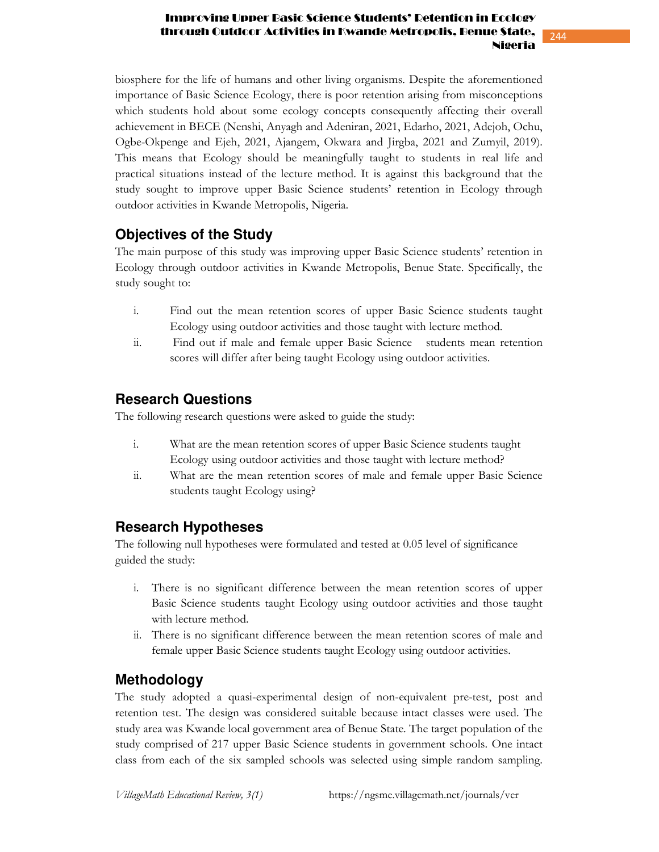244

biosphere for the life of humans and other living organisms. Despite the aforementioned importance of Basic Science Ecology, there is poor retention arising from misconceptions which students hold about some ecology concepts consequently affecting their overall achievement in BECE (Nenshi, Anyagh and Adeniran, 2021, Edarho, 2021, Adejoh, Ochu, Ogbe-Okpenge and Ejeh, 2021, Ajangem, Okwara and Jirgba, 2021 and Zumyil, 2019). This means that Ecology should be meaningfully taught to students in real life and practical situations instead of the lecture method. It is against this background that the study sought to improve upper Basic Science students' retention in Ecology through outdoor activities in Kwande Metropolis, Nigeria.

## **Objectives of the Study**

The main purpose of this study was improving upper Basic Science students' retention in Ecology through outdoor activities in Kwande Metropolis, Benue State. Specifically, the study sought to:

- i. Find out the mean retention scores of upper Basic Science students taught Ecology using outdoor activities and those taught with lecture method.
- ii. Find out if male and female upper Basic Science students mean retention scores will differ after being taught Ecology using outdoor activities.

## **Research Questions**

The following research questions were asked to guide the study:

- i. What are the mean retention scores of upper Basic Science students taught Ecology using outdoor activities and those taught with lecture method?
- ii. What are the mean retention scores of male and female upper Basic Science students taught Ecology using?

## **Research Hypotheses**

The following null hypotheses were formulated and tested at 0.05 level of significance guided the study:

- i. There is no significant difference between the mean retention scores of upper Basic Science students taught Ecology using outdoor activities and those taught with lecture method.
- ii. There is no significant difference between the mean retention scores of male and female upper Basic Science students taught Ecology using outdoor activities.

## **Methodology**

The study adopted a quasi-experimental design of non-equivalent pre-test, post and retention test. The design was considered suitable because intact classes were used. The study area was Kwande local government area of Benue State. The target population of the study comprised of 217 upper Basic Science students in government schools. One intact class from each of the six sampled schools was selected using simple random sampling.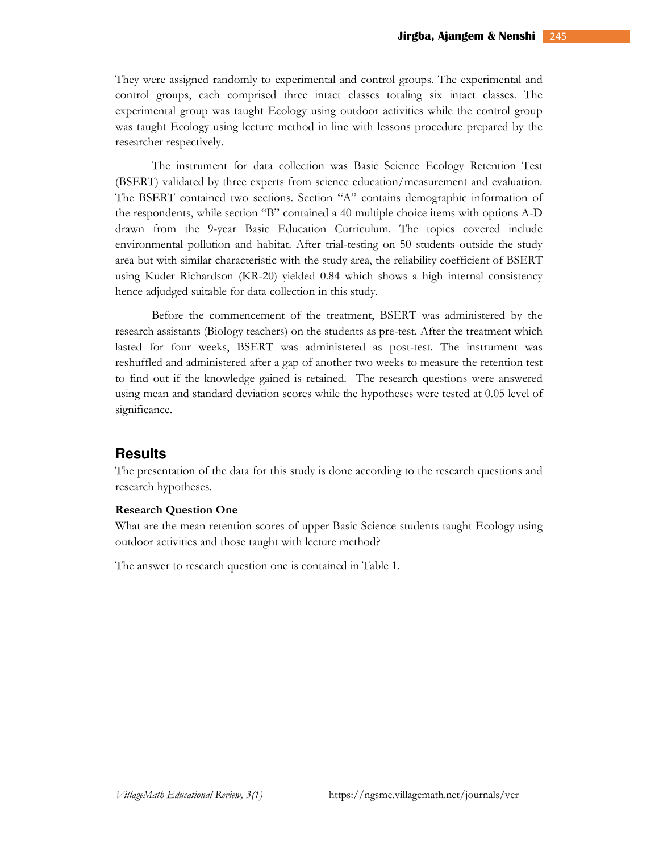They were assigned randomly to experimental and control groups. The experimental and control groups, each comprised three intact classes totaling six intact classes. The experimental group was taught Ecology using outdoor activities while the control group was taught Ecology using lecture method in line with lessons procedure prepared by the researcher respectively.

The instrument for data collection was Basic Science Ecology Retention Test (BSERT) validated by three experts from science education/measurement and evaluation. The BSERT contained two sections. Section "A" contains demographic information of the respondents, while section "B" contained a 40 multiple choice items with options A-D drawn from the 9-year Basic Education Curriculum. The topics covered include environmental pollution and habitat. After trial-testing on 50 students outside the study area but with similar characteristic with the study area, the reliability coefficient of BSERT using Kuder Richardson (KR-20) yielded 0.84 which shows a high internal consistency hence adjudged suitable for data collection in this study.

Before the commencement of the treatment, BSERT was administered by the research assistants (Biology teachers) on the students as pre-test. After the treatment which lasted for four weeks, BSERT was administered as post-test. The instrument was reshuffled and administered after a gap of another two weeks to measure the retention test to find out if the knowledge gained is retained. The research questions were answered using mean and standard deviation scores while the hypotheses were tested at 0.05 level of significance.

## **Results**

The presentation of the data for this study is done according to the research questions and research hypotheses.

#### **Research Question One**

What are the mean retention scores of upper Basic Science students taught Ecology using outdoor activities and those taught with lecture method?

The answer to research question one is contained in Table 1.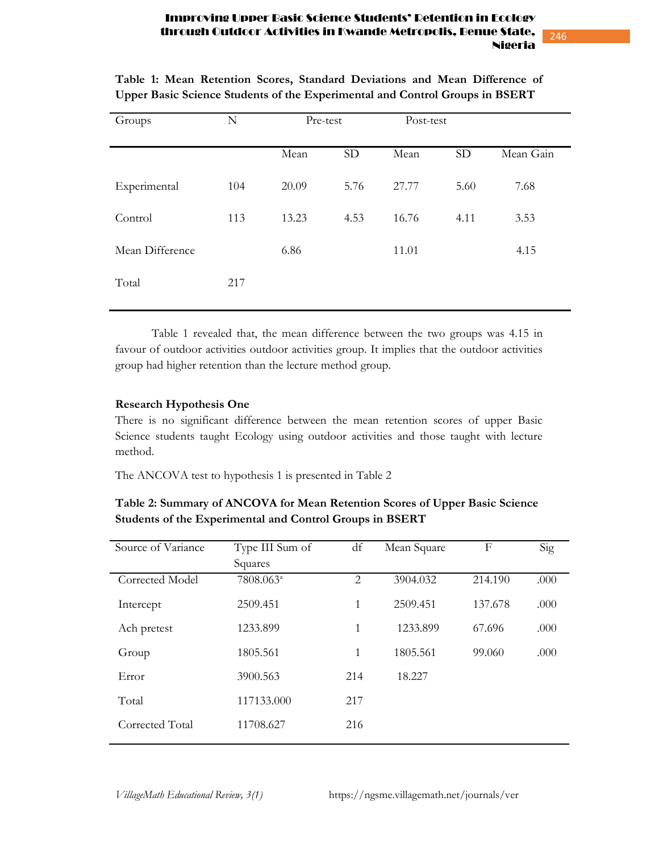246

| Groups          | $\mathbf N$ | Pre-test |           | Post-test |           |           |
|-----------------|-------------|----------|-----------|-----------|-----------|-----------|
|                 |             | Mean     | <b>SD</b> | Mean      | <b>SD</b> | Mean Gain |
| Experimental    | 104         | 20.09    | 5.76      | 27.77     | 5.60      | 7.68      |
| Control         | 113         | 13.23    | 4.53      | 16.76     | 4.11      | 3.53      |
| Mean Difference |             | 6.86     |           | 11.01     |           | 4.15      |
| Total           | 217         |          |           |           |           |           |

**Table 1: Mean Retention Scores, Standard Deviations and Mean Difference of Upper Basic Science Students of the Experimental and Control Groups in BSERT** 

Table 1 revealed that, the mean difference between the two groups was 4.15 in favour of outdoor activities outdoor activities group. It implies that the outdoor activities group had higher retention than the lecture method group.

#### **Research Hypothesis One**

There is no significant difference between the mean retention scores of upper Basic Science students taught Ecology using outdoor activities and those taught with lecture method.

The ANCOVA test to hypothesis 1 is presented in Table 2

| Source of Variance | Type III Sum of       | df  | Mean Square | F       | Sig  |
|--------------------|-----------------------|-----|-------------|---------|------|
|                    | Squares               |     |             |         |      |
| Corrected Model    | 7808.063 <sup>a</sup> | 2   | 3904.032    | 214.190 | .000 |
| Intercept          | 2509.451              | 1   | 2509.451    | 137.678 | .000 |
| Ach pretest        | 1233.899              | 1   | 1233.899    | 67.696  | .000 |
| Group              | 1805.561              | 1   | 1805.561    | 99.060  | .000 |
| Error              | 3900.563              | 214 | 18.227      |         |      |
| Total              | 117133.000            | 217 |             |         |      |
| Corrected Total    | 11708.627             | 216 |             |         |      |
|                    |                       |     |             |         |      |

**Table 2: Summary of ANCOVA for Mean Retention Scores of Upper Basic Science Students of the Experimental and Control Groups in BSERT**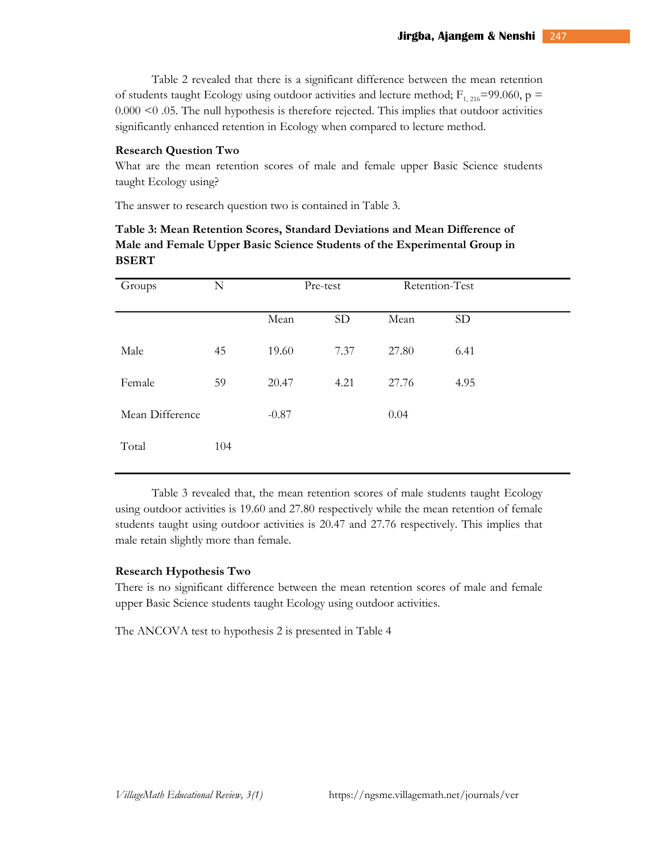Table 2 revealed that there is a significant difference between the mean retention of students taught Ecology using outdoor activities and lecture method;  $F_{1, 216}$ =99.060, p = 0.000 <0 .05. The null hypothesis is therefore rejected. This implies that outdoor activities significantly enhanced retention in Ecology when compared to lecture method.

#### **Research Question Two**

What are the mean retention scores of male and female upper Basic Science students taught Ecology using?

The answer to research question two is contained in Table 3.

| Table 3: Mean Retention Scores, Standard Deviations and Mean Difference of |
|----------------------------------------------------------------------------|
| Male and Female Upper Basic Science Students of the Experimental Group in  |
| <b>BSERT</b>                                                               |

| Groups          | N   | Pre-test |           | Retention-Test |           |
|-----------------|-----|----------|-----------|----------------|-----------|
|                 |     | Mean     | <b>SD</b> | Mean           | <b>SD</b> |
| Male            | 45  | 19.60    | 7.37      | 27.80          | 6.41      |
| Female          | 59  | 20.47    | 4.21      | 27.76          | 4.95      |
| Mean Difference |     | $-0.87$  |           | 0.04           |           |
| Total           | 104 |          |           |                |           |

 Table 3 revealed that, the mean retention scores of male students taught Ecology using outdoor activities is 19.60 and 27.80 respectively while the mean retention of female students taught using outdoor activities is 20.47 and 27.76 respectively. This implies that male retain slightly more than female.

#### **Research Hypothesis Two**

There is no significant difference between the mean retention scores of male and female upper Basic Science students taught Ecology using outdoor activities.

The ANCOVA test to hypothesis 2 is presented in Table 4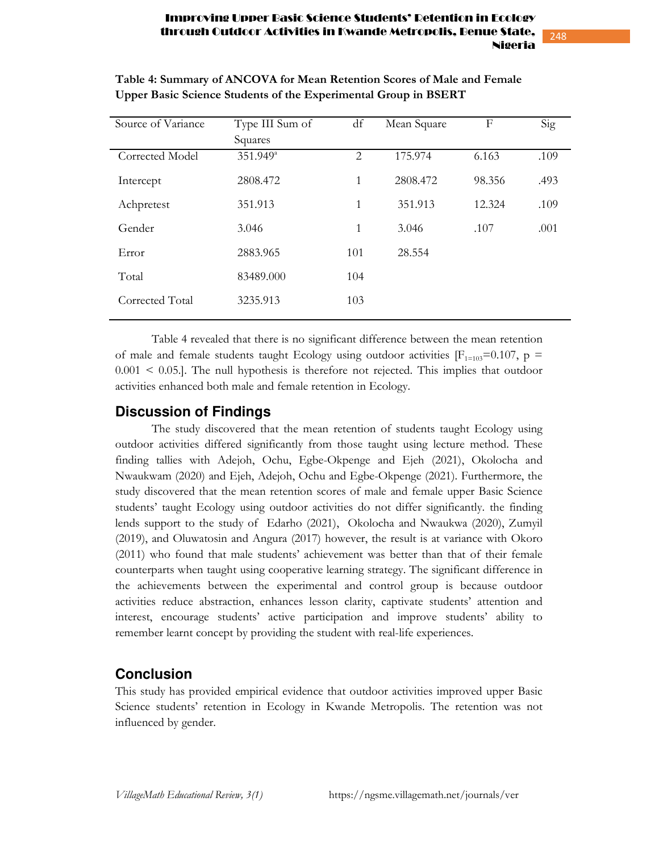| Source of Variance | Type III Sum of        | df             | Mean Square | F      | Sig  |
|--------------------|------------------------|----------------|-------------|--------|------|
|                    | Squares                |                |             |        |      |
| Corrected Model    | $351.949$ <sup>a</sup> | $\overline{2}$ | 175.974     | 6.163  | .109 |
| Intercept          | 2808.472               | $\mathbf{1}$   | 2808.472    | 98.356 | .493 |
| Achpretest         | 351.913                | 1              | 351.913     | 12.324 | .109 |
| Gender             | 3.046                  | 1              | 3.046       | .107   | .001 |
| Error              | 2883.965               | 101            | 28.554      |        |      |
| Total              | 83489.000              | 104            |             |        |      |
| Corrected Total    | 3235.913               | 103            |             |        |      |
|                    |                        |                |             |        |      |

**Table 4: Summary of ANCOVA for Mean Retention Scores of Male and Female Upper Basic Science Students of the Experimental Group in BSERT** 

 Table 4 revealed that there is no significant difference between the mean retention of male and female students taught Ecology using outdoor activities  $[F_{1=103}=0.107, p =$  $0.001 < 0.05$ .]. The null hypothesis is therefore not rejected. This implies that outdoor activities enhanced both male and female retention in Ecology.

## **Discussion of Findings**

The study discovered that the mean retention of students taught Ecology using outdoor activities differed significantly from those taught using lecture method. These finding tallies with Adejoh, Ochu, Egbe-Okpenge and Ejeh (2021), Okolocha and Nwaukwam (2020) and Ejeh, Adejoh, Ochu and Egbe-Okpenge (2021). Furthermore, the study discovered that the mean retention scores of male and female upper Basic Science students' taught Ecology using outdoor activities do not differ significantly. the finding lends support to the study of Edarho (2021), Okolocha and Nwaukwa (2020), Zumyil (2019), and Oluwatosin and Angura (2017) however, the result is at variance with Okoro (2011) who found that male students' achievement was better than that of their female counterparts when taught using cooperative learning strategy. The significant difference in the achievements between the experimental and control group is because outdoor activities reduce abstraction, enhances lesson clarity, captivate students' attention and interest, encourage students' active participation and improve students' ability to remember learnt concept by providing the student with real-life experiences.

## **Conclusion**

This study has provided empirical evidence that outdoor activities improved upper Basic Science students' retention in Ecology in Kwande Metropolis. The retention was not influenced by gender.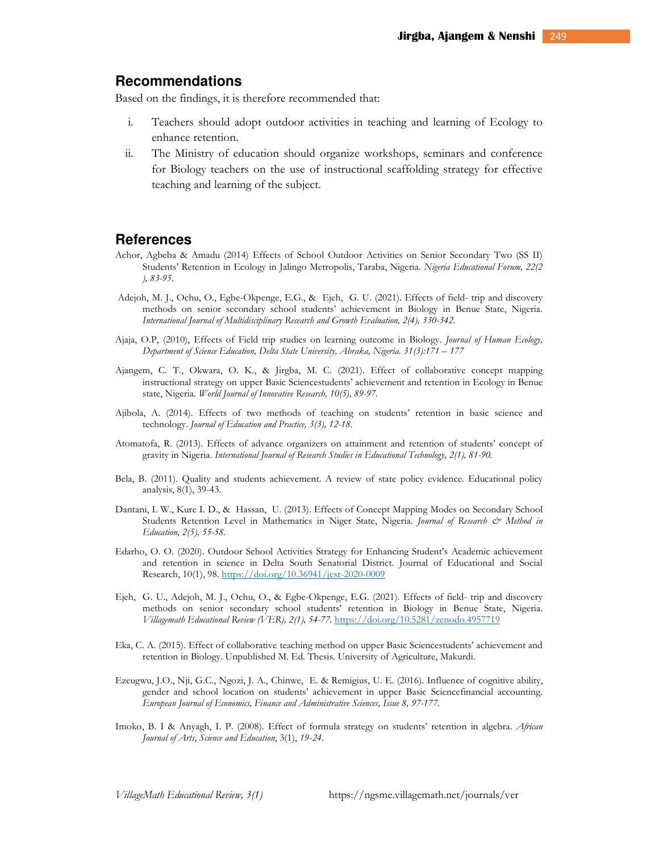### **Recommendations**

Based on the findings, it is therefore recommended that:

- i. Teachers should adopt outdoor activities in teaching and learning of Ecology to enhance retention.
- ii. The Ministry of education should organize workshops, seminars and conference for Biology teachers on the use of instructional scaffolding strategy for effective teaching and learning of the subject.

## **References**

- Achor, Agbeba & Amadu (2014) Effects of School Outdoor Activities on Senior Secondary Two (SS II) Students' Retention in Ecology in Jalingo Metropolis, Taraba, Nigeria. *Nigeria Educational Forum, 22(2 ), 83-95.*
- Adejoh, M. J., Ochu, O., Egbe-Okpenge, E.G., & Ejeh, G. U. (2021). Effects of field- trip and discovery methods on senior secondary school students' achievement in Biology in Benue State, Nigeria. *International Journal of Multidisciplinary Research and Growth Evaluation, 2(4), 330-342.*
- Ajaja, O.P, (2010), Effects of Field trip studies on learning outcome in Biology. *Journal of Human Ecology, Department of Science Education, Delta State University, Abraka, Nigeria. 31(3):171 – 177*
- Ajangem, C. T., Okwara, O. K., & Jirgba, M. C. (2021). Effect of collaborative concept mapping instructional strategy on upper Basic Sciencestudents' achievement and retention in Ecology in Benue state, Nigeria. *World Journal of Innovative Research, 10(5), 89-97.*
- Ajibola, A. (2014). Effects of two methods of teaching on students' retention in basic science and technology. *Journal of Education and Practice, 3(3), 12-18.*
- Atomatofa, R. (2013). Effects of advance organizers on attainment and retention of students' concept of gravity in Nigeria. *International Journal of Research Studies in Educational Technology, 2(1), 81-90.*
- Bela, B. (2011). Quality and students achievement. A review of state policy evidence. Educational policy analysis, 8(1), 39-43.
- Dantani, I. W., Kure I. D., & Hassan, U. (2013). Effects of Concept Mapping Modes on Secondary School Students Retention Level in Mathematics in Niger State, Nigeria. *Journal of Research & Method in Education, 2(5), 55-58.*
- Edarho, O. O. (2020). Outdoor School Activities Strategy for Enhancing Student's Academic achievement and retention in science in Delta South Senatorial District. Journal of Educational and Social Research, 10(1), 98. https://doi.org/10.36941/jesr-2020-0009
- Ejeh, G. U., Adejoh, M. J., Ochu, O., & Egbe-Okpenge, E.G. (2021). Effects of field- trip and discovery methods on senior secondary school students' retention in Biology in Benue State, Nigeria. *Villagemath Educational Review (VER), 2(1), 54-77.* https://doi.org/10.5281/zenodo.4957719
- Eka, C. A. (2015). Effect of collaborative teaching method on upper Basic Sciencestudents' achievement and retention in Biology. Unpublished M. Ed. Thesis. University of Agriculture, Makurdi.
- Ezeugwu, J.O., Nji, G.C., Ngozi, J. A., Chinwe, E. & Remigius, U. E. (2016). Influence of cognitive ability, gender and school location on students' achievement in upper Basic Sciencefinancial accounting. *European Journal of Economics, Finance and Administrative Sciences, Issue 8, 97-177.*
- Imoko, B. I & Anyagh, I. P. (2008). Effect of formula strategy on students' retention in algebra. *African Journal of Arts*, *Science and Education*, 3(1), *19*-*24*.